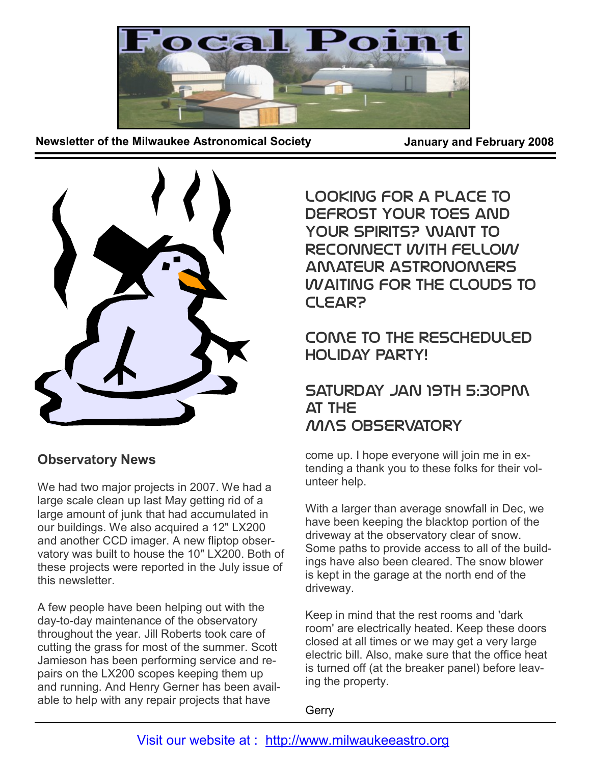

**Newsletter of the Milwaukee Astronomical Society**

**January and February 2008**



## **Observatory News**

We had two major projects in 2007. We had a large scale clean up last May getting rid of a large amount of junk that had accumulated in our buildings. We also acquired a 12" LX200 and another CCD imager. A new fliptop observatory was built to house the 10" LX200. Both of these projects were reported in the July issue of this newsletter.

A few people have been helping out with the day-to-day maintenance of the observatory throughout the year. Jill Roberts took care of cutting the grass for most of the summer. Scott Jamieson has been performing service and repairs on the LX200 scopes keeping them up and running. And Henry Gerner has been available to help with any repair projects that have

Looking for a place to defrost your toes and YOUR SPIRITS? WANT TO reconnect with fellow amateur astronomers waiting for the clouds to clear?

# Come to the rescheduled holiday party!

## Saturday Jan 19th 5:30pm at the MAS Observatory

come up. I hope everyone will join me in extending a thank you to these folks for their volunteer help.

With a larger than average snowfall in Dec, we have been keeping the blacktop portion of the driveway at the observatory clear of snow. Some paths to provide access to all of the buildings have also been cleared. The snow blower is kept in the garage at the north end of the driveway.

Keep in mind that the rest rooms and 'dark room' are electrically heated. Keep these doors closed at all times or we may get a very large electric bill. Also, make sure that the office heat is turned off (at the breaker panel) before leaving the property.

**Gerry**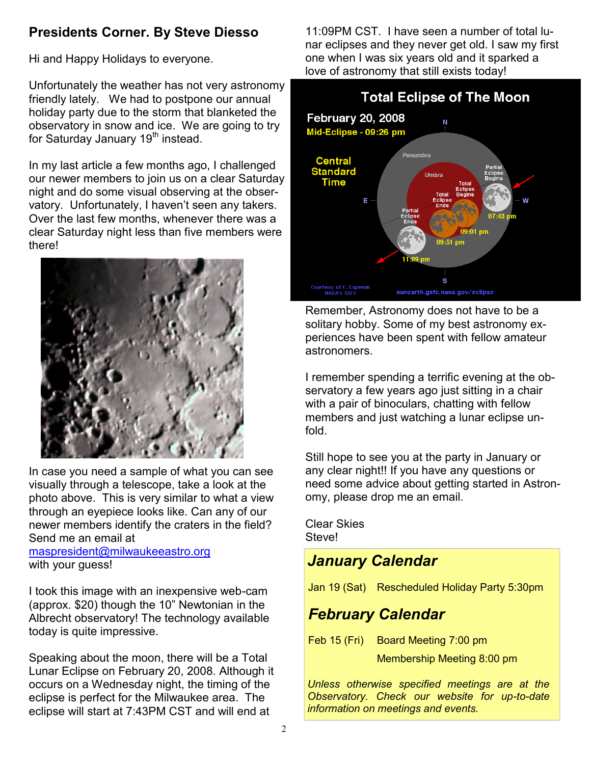## **Presidents Corner. By Steve Diesso**

Hi and Happy Holidays to everyone.

Unfortunately the weather has not very astronomy friendly lately. We had to postpone our annual holiday party due to the storm that blanketed the observatory in snow and ice. We are going to try for Saturday January  $19<sup>th</sup>$  instead.

In my last article a few months ago, I challenged our newer members to join us on a clear Saturday night and do some visual observing at the observatory. Unfortunately, I haven't seen any takers. Over the last few months, whenever there was a clear Saturday night less than five members were there!



In case you need a sample of what you can see visually through a telescope, take a look at the photo above. This is very similar to what a view through an eyepiece looks like. Can any of our newer members identify the craters in the field? Send me an email at

[maspresident@milwaukeeastro.org](mailto:maspresident@milwaukeeastro.org) with your guess!

I took this image with an inexpensive web-cam (approx. \$20) though the 10" Newtonian in the Albrecht observatory! The technology available today is quite impressive.

Speaking about the moon, there will be a Total Lunar Eclipse on February 20, 2008. Although it occurs on a Wednesday night, the timing of the eclipse is perfect for the Milwaukee area. The eclipse will start at 7:43PM CST and will end at

11:09PM CST. I have seen a number of total lunar eclipses and they never get old. I saw my first one when I was six years old and it sparked a love of astronomy that still exists today!



Remember, Astronomy does not have to be a solitary hobby. Some of my best astronomy experiences have been spent with fellow amateur astronomers.

I remember spending a terrific evening at the observatory a few years ago just sitting in a chair with a pair of binoculars, chatting with fellow members and just watching a lunar eclipse unfold.

Still hope to see you at the party in January or any clear night!! If you have any questions or need some advice about getting started in Astronomy, please drop me an email.

Clear Skies Steve!

## *January Calendar*

Jan 19 (Sat) Rescheduled Holiday Party 5:30pm

# *February Calendar*

Feb 15 (Fri) Board Meeting 7:00 pm

Membership Meeting 8:00 pm

*Unless otherwise specified meetings are at the Observatory. Check our website for up-to-date information on meetings and events.*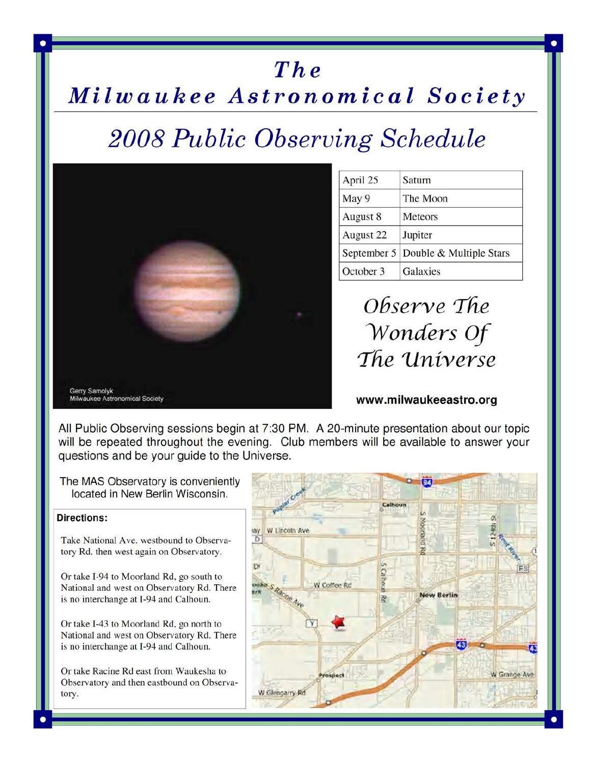# The Milwaukee Astronomical Society

# 2008 Public Observing Schedule



| April 25    | Saturn                  |
|-------------|-------------------------|
| May 9       | The Moon                |
| August 8    | Meteors                 |
| August 22   | Jupiter                 |
| September 5 | Double & Multiple Stars |
| October 3   | Galaxies                |

Observe The Wonders Of The Universe

## www.milwaukeeastro.org

All Public Observing sessions begin at 7:30 PM. A 20-minute presentation about our topic will be repeated throughout the evening. Club members will be available to answer your questions and be your guide to the Universe.

The MAS Observatory is conveniently located in New Berlin Wisconsin.

#### **Directions:**

Take National Ave. westbound to Observatory Rd. then west again on Observatory.

Or take I-94 to Moorland Rd, go south to National and west on Observatory Rd. There is no interchange at I-94 and Calhoun.

Or take I-43 to Moorland Rd, go north to National and west on Observatory Rd. There is no interchange at I-94 and Calhoun.

Or take Racine Rd east from Waukesha to Observatory and then eastbound on Observatory.